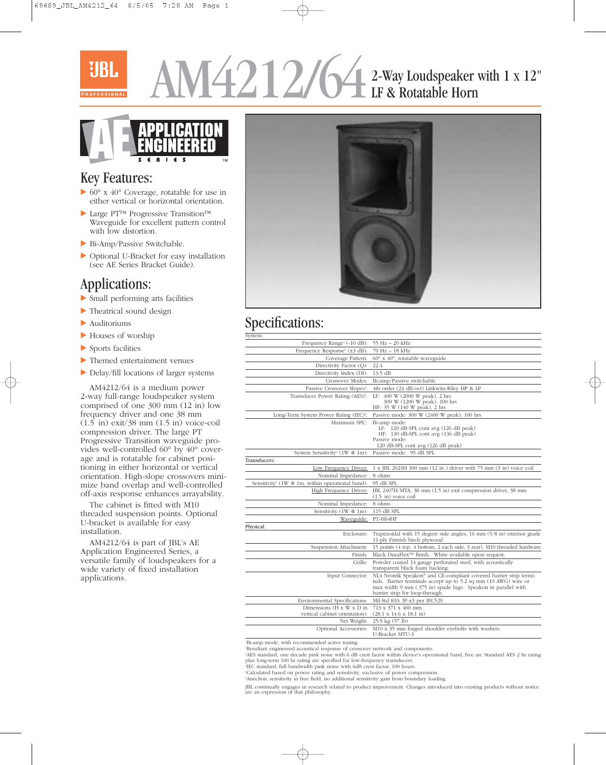# $4212/64$  2-Way Loudspeaker with 1 x 12" LF & Rotatable Horn



### Key Features:

- 60° x 40° Coverage, rotatable for use in either vertical or horizontal orientation.
- Large PT™ Progressive Transition™ Waveguide for excellent pattern control with low distortion.
- Bi-Amp/Passive Switchable.
- Optional U-Bracket for easy installation (see AE Series Bracket Guide).

### Applications:

- Small performing arts facilities
- Theatrical sound design
- Auditoriums
- Houses of worship
- Sports facilities
- Themed entertainment venues
- Delay/fill locations of larger systems

AM4212/64 is a medium power 2-way full-range loudspeaker system comprised of one 300 mm (12 in) low frequency driver and one 38 mm  $(1.5 \text{ in})$  exit/38 mm  $(1.5 \text{ in})$  voice-coil compression driver. The large PT Progressive Transition waveguide provides well-controlled 60° by 40° coverage and is rotatable for cabinet positioning in either horizontal or vertical orientation. High-slope crossovers minimize band overlap and well-controlled off-axis response enhances arrayability.

The cabinet is fitted with M10 threaded suspension points. Optional U-bracket is available for easy installation.

AM4212/64 is part of JBL's AE Application Engineered Series, a versatile family of loudspeakers for a wide variety of fixed installation applications.



## Specifications:

| System:                                                                 |                                                                                                                                                                                                                                                       |
|-------------------------------------------------------------------------|-------------------------------------------------------------------------------------------------------------------------------------------------------------------------------------------------------------------------------------------------------|
| Frequency Range <sup>1</sup> (-10 dB):                                  | 55 Hz - 20 kHz                                                                                                                                                                                                                                        |
| Frequency Response <sup>1</sup> (±3 dB):                                | 70 Hz - 18 kHz                                                                                                                                                                                                                                        |
| Coverage Pattern:                                                       | $60^{\circ}$ x $40^{\circ}$ , rotatable waveguide                                                                                                                                                                                                     |
| Directivity Factor (Q):                                                 | 22.4                                                                                                                                                                                                                                                  |
| Directivity Index (DI):                                                 | $13.5$ dB                                                                                                                                                                                                                                             |
| Crossover Modes:                                                        | Bi-amp/Passive switchable                                                                                                                                                                                                                             |
| Passive Crossover Slopes <sup>2</sup> :                                 | 4th order (24 dB/oct) Linkwitz-Riley HP & LP                                                                                                                                                                                                          |
| Transducer Power Rating (AES) <sup>3</sup> :                            | LF: 400 W (2000 W peak), 2 hrs<br>300 W (1200 W peak), 100 hrs<br>HF: 35 W (140 W peak), 2 hrs                                                                                                                                                        |
| Long-Term System Power Rating (IEC) <sup>4</sup> :                      | Passive mode: 300 W (2400 W peak), 100 hrs                                                                                                                                                                                                            |
| Maximum SPL5:                                                           | Bi-amp mode:<br>LF: $120$ dB-SPL cont avg $(126$ dB peak)<br>HF: 130 dB-SPL cont avg (136 dB peak)<br>Passive mode:<br>120 dB-SPL cont avg (126 dB peak)                                                                                              |
| System Sensitivity <sup>6</sup> (1W @ 1m):                              | Passive mode: 95 dB SPL                                                                                                                                                                                                                               |
| Transducers:                                                            |                                                                                                                                                                                                                                                       |
| Low Frequency Driver:                                                   | 1 x JBL 2023H 300 mm (12 in) driver with 75 mm (3 in) voice coil                                                                                                                                                                                      |
| Nominal Impedance:                                                      | 8 ohms                                                                                                                                                                                                                                                |
| Sensitivity <sup>6</sup> (1W @ 1m, within operational band):            | 95 dB SPL                                                                                                                                                                                                                                             |
| High Frequency Driver:                                                  | JBL 2407H/MTA, 38 mm (1.5 in) exit compression driver, 38 mm<br>$(1.5 \text{ in})$ voice coil                                                                                                                                                         |
| Nominal Impedance:                                                      | 8 ohms                                                                                                                                                                                                                                                |
| Sensitivity (1W @ 1m):                                                  | 115 dB SPL                                                                                                                                                                                                                                            |
| Waveguide:                                                              | PT-H64HF                                                                                                                                                                                                                                              |
| Physical:                                                               |                                                                                                                                                                                                                                                       |
| Enclosure:                                                              | Trapezoidal with 15 degree side angles, 16 mm (5/8 in) exterior grade<br>11-ply Finnish birch plywood                                                                                                                                                 |
| Suspension Attachment:                                                  | 15 points (4 top, 4 bottom, 2 each side, 3 rear), M10 threaded hardware                                                                                                                                                                               |
| Finish:                                                                 | Black DuraFlex™ finish. White available upon request.                                                                                                                                                                                                 |
| Grille:                                                                 | Powder coated 14 gauge perforated steel, with acoustically<br>transparent black foam backing.                                                                                                                                                         |
| Input Connector:                                                        | NL4 Neutrik Speakon <sup>®</sup> and CE-compliant covered barrier strip termi-<br>nals. Barrier terminals accept up to 5.2 sq mm (10 AWG) wire or<br>max width 9 mm (.375 in) spade lugs. Speakon in parallel with<br>barrier strip for loop-through. |
| Environmental Specifications:                                           | Mil-Std 810; IP-x3 per IEC529.                                                                                                                                                                                                                        |
| Dimensions $(H \times W \times D)$ in<br>vertical cabinet orientation): | 713 x 371 x 460 mm<br>$(28.1 \times 14.6 \times 18.1 \text{ in})$                                                                                                                                                                                     |
| Net Weight:                                                             | 25.9 kg (57 lb)                                                                                                                                                                                                                                       |
| Optional Accessories:                                                   | M10 x 35 mm forged shoulder eyebolts with washers<br>U-Bracket MTU-3                                                                                                                                                                                  |
|                                                                         |                                                                                                                                                                                                                                                       |

1 Bi-amp mode, with recommended active tuning.

2 Resultant engineered acoustical response of crossover network and components.

3 AES standard, one decade pink noise with 6 dB crest factor within device's operational band, free air. Standard AES 2 hr rating plus long-term 100 hr rating are specified for low-frequency transducers.

4 IEC standard, full bandwidth pink noise with 6dB crest factor, 100 hours.

5 Calculated based on power rating and sensitivity, exclusive of power compression.

6 Anechoic sensitivity in free field, no additional sensitivity gain from boundary loading.

JBL continually engages in research related to product improvement. Changes introduced into existing products without notice are an expression of that philosophy.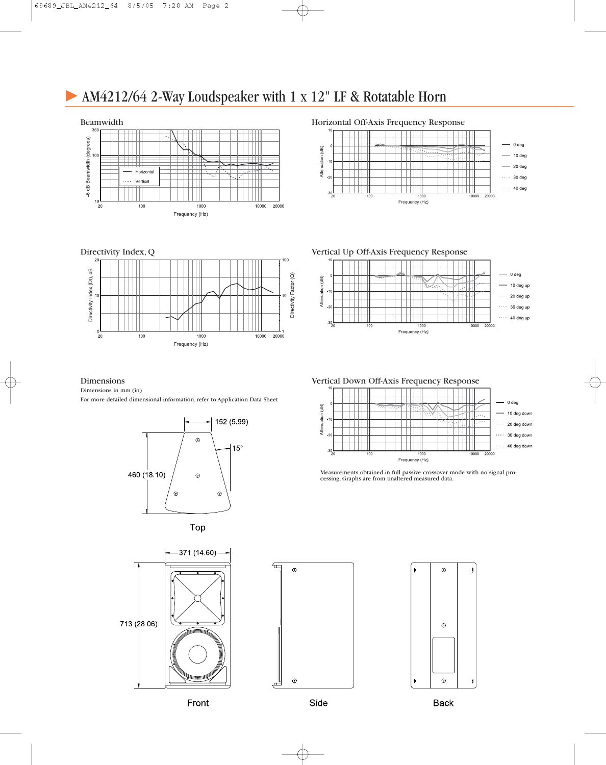## AM4212/64 2-Way Loudspeaker with 1 x 12" LF & Rotatable Horn



Directivity Index, Q



#### Horizontal Off-Axis Frequency Response



Vertical Up Off-Axis Frequency Response



Measurements obtained in full passive crossover mode with no signal pro-

1000 Frequency (Hz)  $-0$  deg

10 deg down

20 deg down

40 deg down

 $\cdots$  30 deg down

10000  $20000$ 

cessing. Graphs are from unaltered measured data.

 $\overline{100}$ 

#### Dimensions Vertical Down Off-Axis Frequency Response

Dimensions in mm (in)

For more detailed dimensional information, refer to Application Data Sheet







∈  $\odot$  $\odot$ ٹم

 $\widehat{\mathsf{dB}}$ 

ation

Atter

اھ



Front

**Back**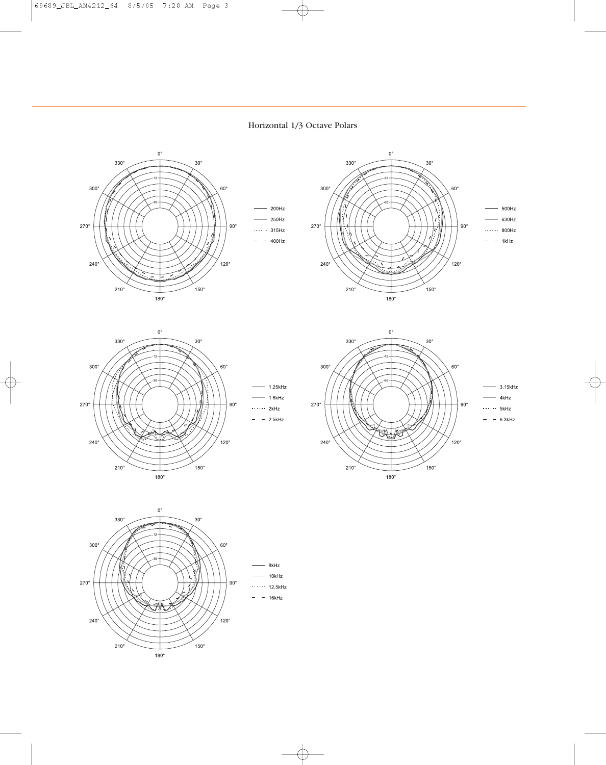#### Horizontal 1/3 Octave Polars